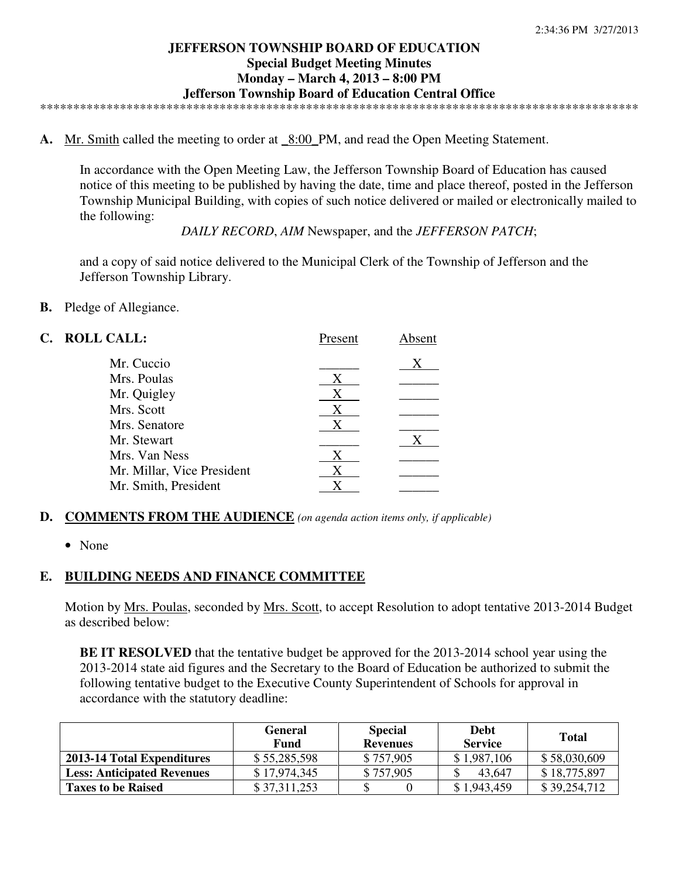#### **JEFFERSON TOWNSHIP BOARD OF EDUCATION Special Budget Meeting Minutes Monday – March 4, 2013 – 8:00 PM Jefferson Township Board of Education Central Office**  \*\*\*\*\*\*\*\*\*\*\*\*\*\*\*\*\*\*\*\*\*\*\*\*\*\*\*\*\*\*\*\*\*\*\*\*\*\*\*\*\*\*\*\*\*\*\*\*\*\*\*\*\*\*\*\*\*\*\*\*\*\*\*\*\*\*\*\*\*\*\*\*\*\*\*\*\*\*\*\*\*\*\*\*\*\*\*\*\*\*

**A.** Mr. Smith called the meeting to order at \_8:00\_PM, and read the Open Meeting Statement.

In accordance with the Open Meeting Law, the Jefferson Township Board of Education has caused notice of this meeting to be published by having the date, time and place thereof, posted in the Jefferson Township Municipal Building, with copies of such notice delivered or mailed or electronically mailed to the following:

*DAILY RECORD*, *AIM* Newspaper, and the *JEFFERSON PATCH*;

and a copy of said notice delivered to the Municipal Clerk of the Township of Jefferson and the Jefferson Township Library.

**B.** Pledge of Allegiance.

| C. ROLL CALL: |                            | Present | Absent |
|---------------|----------------------------|---------|--------|
|               | Mr. Cuccio                 |         | X      |
|               | Mrs. Poulas                | X       |        |
|               | Mr. Quigley                | Χ       |        |
|               | Mrs. Scott                 | Χ       |        |
|               | Mrs. Senatore              | X       |        |
|               | Mr. Stewart                |         | Х      |
|               | Mrs. Van Ness              | X       |        |
|               | Mr. Millar, Vice President | X       |        |
|               | Mr. Smith, President       |         |        |
|               |                            |         |        |

## **D. COMMENTS FROM THE AUDIENCE** *(on agenda action items only, if applicable)*

• None

### **E. BUILDING NEEDS AND FINANCE COMMITTEE**

Motion by <u>Mrs. Poulas</u>, seconded by <u>Mrs. Scott</u>, to accept Resolution to adopt tentative 2013-2014 Budget as described below:

**BE IT RESOLVED** that the tentative budget be approved for the 2013-2014 school year using the 2013-2014 state aid figures and the Secretary to the Board of Education be authorized to submit the following tentative budget to the Executive County Superintendent of Schools for approval in accordance with the statutory deadline:

|                                   | <b>General</b><br>Fund | <b>Special</b><br><b>Revenues</b> | <b>Debt</b><br><b>Service</b> | <b>Total</b> |
|-----------------------------------|------------------------|-----------------------------------|-------------------------------|--------------|
| 2013-14 Total Expenditures        | \$55,285,598           | \$757,905                         | \$1,987,106                   | \$58,030,609 |
| <b>Less: Anticipated Revenues</b> | \$17.974.345           | \$757,905                         | 43,647                        | \$18,775,897 |
| <b>Taxes to be Raised</b>         | \$37,311,253           |                                   | \$1,943,459                   | \$39,254,712 |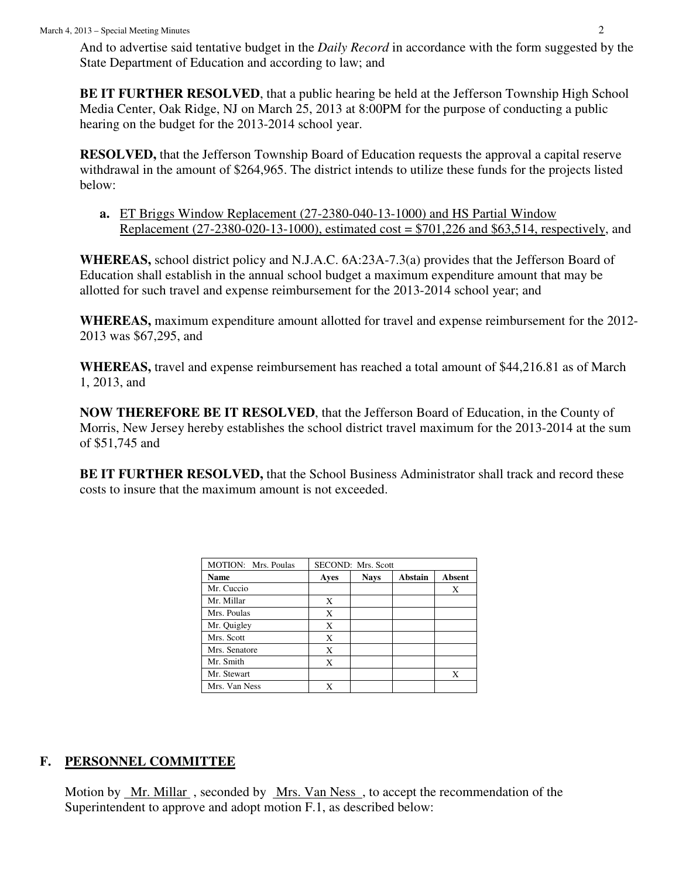And to advertise said tentative budget in the *Daily Record* in accordance with the form suggested by the State Department of Education and according to law; and

**BE IT FURTHER RESOLVED**, that a public hearing be held at the Jefferson Township High School Media Center, Oak Ridge, NJ on March 25, 2013 at 8:00PM for the purpose of conducting a public hearing on the budget for the 2013-2014 school year.

**RESOLVED,** that the Jefferson Township Board of Education requests the approval a capital reserve withdrawal in the amount of \$264,965. The district intends to utilize these funds for the projects listed below:

**a.** ET Briggs Window Replacement (27-2380-040-13-1000) and HS Partial Window Replacement (27-2380-020-13-1000), estimated cost =  $$701,226$  and \$63,514, respectively, and

**WHEREAS,** school district policy and N.J.A.C. 6A:23A-7.3(a) provides that the Jefferson Board of Education shall establish in the annual school budget a maximum expenditure amount that may be allotted for such travel and expense reimbursement for the 2013-2014 school year; and

**WHEREAS,** maximum expenditure amount allotted for travel and expense reimbursement for the 2012- 2013 was \$67,295, and

**WHEREAS,** travel and expense reimbursement has reached a total amount of \$44,216.81 as of March 1, 2013, and

**NOW THEREFORE BE IT RESOLVED**, that the Jefferson Board of Education, in the County of Morris, New Jersey hereby establishes the school district travel maximum for the 2013-2014 at the sum of \$51,745 and

**BE IT FURTHER RESOLVED,** that the School Business Administrator shall track and record these costs to insure that the maximum amount is not exceeded.

| MOTION: Mrs. Poulas |      | SECOND: Mrs. Scott |         |        |
|---------------------|------|--------------------|---------|--------|
| <b>Name</b>         | Ayes | <b>Nays</b>        | Abstain | Absent |
| Mr. Cuccio          |      |                    |         | Χ      |
| Mr. Millar          | X    |                    |         |        |
| Mrs. Poulas         | X    |                    |         |        |
| Mr. Quigley         | X    |                    |         |        |
| Mrs. Scott          | X    |                    |         |        |
| Mrs. Senatore       | X    |                    |         |        |
| Mr. Smith           | X    |                    |         |        |
| Mr. Stewart         |      |                    |         | X      |
| Mrs. Van Ness       |      |                    |         |        |

# **F. PERSONNEL COMMITTEE**

Motion by <u>Mr. Millar</u>, seconded by <u>Mrs. Van Ness</u>, to accept the recommendation of the Superintendent to approve and adopt motion F.1, as described below: